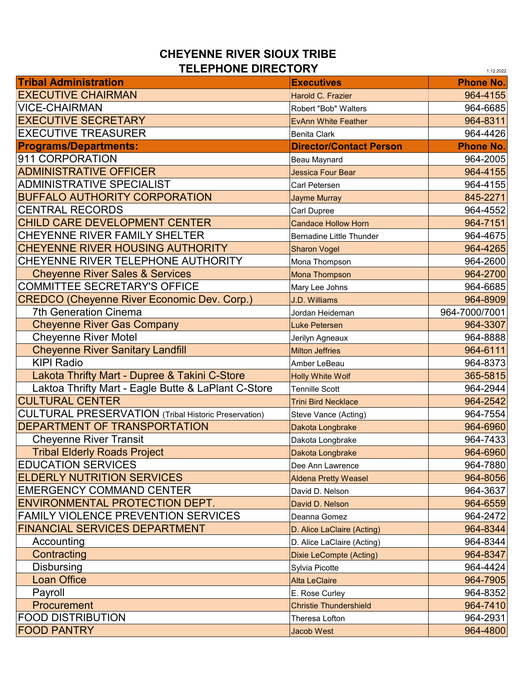## **CHEYENNE RIVER SIOUX TRIBE TELEPHONE DIRECTORY**

| I ELEFNVIIE VINEV I VN I<br>1.12.2022                       |                                 |                  |
|-------------------------------------------------------------|---------------------------------|------------------|
| <b>Tribal Administration</b>                                | <b>Executives</b>               | <b>Phone No.</b> |
| <b>EXECUTIVE CHAIRMAN</b>                                   | Harold C. Frazier               | 964-4155         |
| <b>VICE-CHAIRMAN</b>                                        | Robert "Bob" Walters            | 964-6685         |
| <b>EXECUTIVE SECRETARY</b>                                  | <b>EvAnn White Feather</b>      | 964-8311         |
| <b>EXECUTIVE TREASURER</b>                                  | <b>Benita Clark</b>             | 964-4426         |
| <b>Programs/Departments:</b>                                | <b>Director/Contact Person</b>  | <b>Phone No.</b> |
| 911 CORPORATION                                             | Beau Maynard                    | 964-2005         |
| <b>ADMINISTRATIVE OFFICER</b>                               | Jessica Four Bear               | 964-4155         |
| <b>ADMINISTRATIVE SPECIALIST</b>                            | Carl Petersen                   | 964-4155         |
| <b>BUFFALO AUTHORITY CORPORATION</b>                        | <b>Jayme Murray</b>             | 845-2271         |
| <b>CENTRAL RECORDS</b>                                      | Carl Dupree                     | 964-4552         |
| CHILD CARE DEVELOPMENT CENTER                               | <b>Candace Hollow Horn</b>      | 964-7151         |
| CHEYENNE RIVER FAMILY SHELTER                               | <b>Bernadine Little Thunder</b> | 964-4675         |
| <b>CHEYENNE RIVER HOUSING AUTHORITY</b>                     | <b>Sharon Vogel</b>             | 964-4265         |
| CHEYENNE RIVER TELEPHONE AUTHORITY                          | Mona Thompson                   | 964-2600         |
| <b>Cheyenne River Sales &amp; Services</b>                  | Mona Thompson                   | 964-2700         |
| <b>COMMITTEE SECRETARY'S OFFICE</b>                         | Mary Lee Johns                  | 964-6685         |
| <b>CREDCO (Cheyenne River Economic Dev. Corp.)</b>          | <b>J.D. Williams</b>            | 964-8909         |
| <b>7th Generation Cinema</b>                                | Jordan Heideman                 | 964-7000/7001    |
| <b>Cheyenne River Gas Company</b>                           | <b>Luke Petersen</b>            | 964-3307         |
| <b>Cheyenne River Motel</b>                                 | Jerilyn Agneaux                 | 964-8888         |
| <b>Cheyenne River Sanitary Landfill</b>                     | <b>Milton Jeffries</b>          | 964-6111         |
| <b>KIPI Radio</b>                                           | Amber LeBeau                    | 964-8373         |
| Lakota Thrifty Mart - Dupree & Takini C-Store               | <b>Holly White Wolf</b>         | 365-5815         |
| Laktoa Thrifty Mart - Eagle Butte & LaPlant C-Store         | <b>Tennille Scott</b>           | 964-2944         |
| <b>CULTURAL CENTER</b>                                      | <b>Trini Bird Necklace</b>      | 964-2542         |
| <b>CULTURAL PRESERVATION</b> (Tribal Historic Preservation) | Steve Vance (Acting)            | 964-7554         |
| <b>DEPARTMENT OF TRANSPORTATION</b>                         | Dakota Longbrake                | 964-6960         |
| <b>Cheyenne River Transit</b>                               | Dakota Longbrake                | 964-7433         |
| <b>Tribal Elderly Roads Project</b>                         | Dakota Longbrake                | 964-6960         |
| <b>EDUCATION SERVICES</b>                                   | Dee Ann Lawrence                | 964-7880         |
| <b>ELDERLY NUTRITION SERVICES</b>                           | <b>Aldena Pretty Weasel</b>     | 964-8056         |
| <b>EMERGENCY COMMAND CENTER</b>                             | David D. Nelson                 | 964-3637         |
| <b>ENVIRONMENTAL PROTECTION DEPT.</b>                       | David D. Nelson                 | 964-6559         |
| <b>FAMILY VIOLENCE PREVENTION SERVICES</b>                  | Deanna Gomez                    | 964-2472         |
| <b>FINANCIAL SERVICES DEPARTMENT</b>                        | D. Alice LaClaire (Acting)      | 964-8344         |
| Accounting                                                  | D. Alice LaClaire (Acting)      | 964-8344         |
| Contracting                                                 | <b>Dixie LeCompte (Acting)</b>  | 964-8347         |
| <b>Disbursing</b>                                           | Sylvia Picotte                  | 964-4424         |
| <b>Loan Office</b>                                          | <b>Alta LeClaire</b>            | 964-7905         |
| Payroll                                                     | E. Rose Curley                  | 964-8352         |
| Procurement                                                 | <b>Christie Thundershield</b>   | 964-7410         |
| <b>FOOD DISTRIBUTION</b>                                    | Theresa Lofton                  | 964-2931         |
| <b>FOOD PANTRY</b>                                          | <b>Jacob West</b>               | 964-4800         |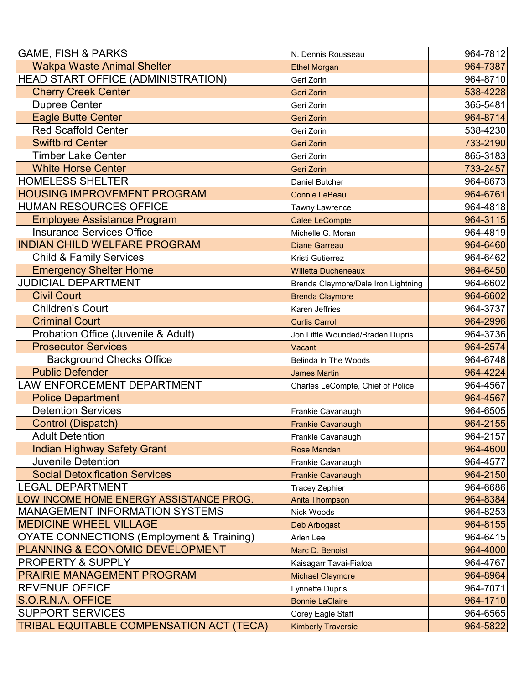| <b>GAME, FISH &amp; PARKS</b><br>964-7812<br><b>Wakpa Waste Animal Shelter</b><br>964-7387<br><b>Ethel Morgan</b><br>HEAD START OFFICE (ADMINISTRATION)<br>964-8710<br>Geri Zorin<br><b>Cherry Creek Center</b><br>538-4228<br><b>Geri Zorin</b><br><b>Dupree Center</b><br>365-5481<br>Geri Zorin<br><b>Eagle Butte Center</b><br>964-8714<br><b>Geri Zorin</b><br><b>Red Scaffold Center</b><br>538-4230<br>Geri Zorin<br><b>Swiftbird Center</b><br>733-2190<br><b>Geri Zorin</b><br><b>Timber Lake Center</b><br>865-3183<br>Geri Zorin<br><b>White Horse Center</b><br>733-2457<br><b>Geri Zorin</b><br><b>HOMELESS SHELTER</b><br>964-8673<br>Daniel Butcher<br><b>HOUSING IMPROVEMENT PROGRAM</b><br>964-6761<br><b>Connie LeBeau</b><br><b>HUMAN RESOURCES OFFICE</b><br>964-4818<br>Tawny Lawrence<br><b>Employee Assistance Program</b><br>964-3115<br><b>Calee LeCompte</b><br><b>Insurance Services Office</b><br>964-4819<br>Michelle G. Moran<br><b>INDIAN CHILD WELFARE PROGRAM</b><br>964-6460<br><b>Diane Garreau</b><br><b>Child &amp; Family Services</b><br>964-6462<br>Kristi Gutierrez<br><b>Emergency Shelter Home</b><br>964-6450<br><b>Willetta Ducheneaux</b><br><b>JUDICIAL DEPARTMENT</b><br>964-6602<br>Brenda Claymore/Dale Iron Lightning<br><b>Civil Court</b><br>964-6602<br><b>Brenda Claymore</b><br><b>Children's Court</b><br>964-3737<br>Karen Jeffries<br><b>Criminal Court</b><br>964-2996<br><b>Curtis Carroll</b><br>Probation Office (Juvenile & Adult)<br>964-3736<br>Jon Little Wounded/Braden Dupris<br><b>Prosecutor Services</b><br>964-2574<br>Vacant<br><b>Background Checks Office</b><br>964-6748<br>Belinda In The Woods<br><b>Public Defender</b><br>964-4224<br><b>James Martin</b><br>LAW ENFORCEMENT DEPARTMENT<br>964-4567<br>Charles LeCompte, Chief of Police<br><b>Police Department</b><br>964-4567<br><b>Detention Services</b><br>964-6505<br>Frankie Cavanaugh<br>Control (Dispatch)<br>964-2155<br><b>Frankie Cavanaugh</b><br><b>Adult Detention</b><br>Frankie Cavanaugh<br>964-2157<br><b>Indian Highway Safety Grant</b><br>964-4600<br><b>Rose Mandan</b><br><b>Juvenile Detention</b><br>964-4577<br>Frankie Cavanaugh<br><b>Social Detoxification Services</b><br>964-2150<br><b>Frankie Cavanaugh</b><br><b>LEGAL DEPARTMENT</b><br>964-6686<br><b>Tracey Zephier</b><br>LOW INCOME HOME ENERGY ASSISTANCE PROG.<br>964-8384<br><b>Anita Thompson</b> |
|---------------------------------------------------------------------------------------------------------------------------------------------------------------------------------------------------------------------------------------------------------------------------------------------------------------------------------------------------------------------------------------------------------------------------------------------------------------------------------------------------------------------------------------------------------------------------------------------------------------------------------------------------------------------------------------------------------------------------------------------------------------------------------------------------------------------------------------------------------------------------------------------------------------------------------------------------------------------------------------------------------------------------------------------------------------------------------------------------------------------------------------------------------------------------------------------------------------------------------------------------------------------------------------------------------------------------------------------------------------------------------------------------------------------------------------------------------------------------------------------------------------------------------------------------------------------------------------------------------------------------------------------------------------------------------------------------------------------------------------------------------------------------------------------------------------------------------------------------------------------------------------------------------------------------------------------------------------------------------------------------------------------------------------------------------------------------------------------------------------------------------------------------------------------------------------------------------------------------------------------------------------------------------------------------------------------------------------------------------------------------------------------------------------------------------|
|                                                                                                                                                                                                                                                                                                                                                                                                                                                                                                                                                                                                                                                                                                                                                                                                                                                                                                                                                                                                                                                                                                                                                                                                                                                                                                                                                                                                                                                                                                                                                                                                                                                                                                                                                                                                                                                                                                                                                                                                                                                                                                                                                                                                                                                                                                                                                                                                                                 |
|                                                                                                                                                                                                                                                                                                                                                                                                                                                                                                                                                                                                                                                                                                                                                                                                                                                                                                                                                                                                                                                                                                                                                                                                                                                                                                                                                                                                                                                                                                                                                                                                                                                                                                                                                                                                                                                                                                                                                                                                                                                                                                                                                                                                                                                                                                                                                                                                                                 |
|                                                                                                                                                                                                                                                                                                                                                                                                                                                                                                                                                                                                                                                                                                                                                                                                                                                                                                                                                                                                                                                                                                                                                                                                                                                                                                                                                                                                                                                                                                                                                                                                                                                                                                                                                                                                                                                                                                                                                                                                                                                                                                                                                                                                                                                                                                                                                                                                                                 |
|                                                                                                                                                                                                                                                                                                                                                                                                                                                                                                                                                                                                                                                                                                                                                                                                                                                                                                                                                                                                                                                                                                                                                                                                                                                                                                                                                                                                                                                                                                                                                                                                                                                                                                                                                                                                                                                                                                                                                                                                                                                                                                                                                                                                                                                                                                                                                                                                                                 |
|                                                                                                                                                                                                                                                                                                                                                                                                                                                                                                                                                                                                                                                                                                                                                                                                                                                                                                                                                                                                                                                                                                                                                                                                                                                                                                                                                                                                                                                                                                                                                                                                                                                                                                                                                                                                                                                                                                                                                                                                                                                                                                                                                                                                                                                                                                                                                                                                                                 |
|                                                                                                                                                                                                                                                                                                                                                                                                                                                                                                                                                                                                                                                                                                                                                                                                                                                                                                                                                                                                                                                                                                                                                                                                                                                                                                                                                                                                                                                                                                                                                                                                                                                                                                                                                                                                                                                                                                                                                                                                                                                                                                                                                                                                                                                                                                                                                                                                                                 |
|                                                                                                                                                                                                                                                                                                                                                                                                                                                                                                                                                                                                                                                                                                                                                                                                                                                                                                                                                                                                                                                                                                                                                                                                                                                                                                                                                                                                                                                                                                                                                                                                                                                                                                                                                                                                                                                                                                                                                                                                                                                                                                                                                                                                                                                                                                                                                                                                                                 |
|                                                                                                                                                                                                                                                                                                                                                                                                                                                                                                                                                                                                                                                                                                                                                                                                                                                                                                                                                                                                                                                                                                                                                                                                                                                                                                                                                                                                                                                                                                                                                                                                                                                                                                                                                                                                                                                                                                                                                                                                                                                                                                                                                                                                                                                                                                                                                                                                                                 |
|                                                                                                                                                                                                                                                                                                                                                                                                                                                                                                                                                                                                                                                                                                                                                                                                                                                                                                                                                                                                                                                                                                                                                                                                                                                                                                                                                                                                                                                                                                                                                                                                                                                                                                                                                                                                                                                                                                                                                                                                                                                                                                                                                                                                                                                                                                                                                                                                                                 |
|                                                                                                                                                                                                                                                                                                                                                                                                                                                                                                                                                                                                                                                                                                                                                                                                                                                                                                                                                                                                                                                                                                                                                                                                                                                                                                                                                                                                                                                                                                                                                                                                                                                                                                                                                                                                                                                                                                                                                                                                                                                                                                                                                                                                                                                                                                                                                                                                                                 |
|                                                                                                                                                                                                                                                                                                                                                                                                                                                                                                                                                                                                                                                                                                                                                                                                                                                                                                                                                                                                                                                                                                                                                                                                                                                                                                                                                                                                                                                                                                                                                                                                                                                                                                                                                                                                                                                                                                                                                                                                                                                                                                                                                                                                                                                                                                                                                                                                                                 |
|                                                                                                                                                                                                                                                                                                                                                                                                                                                                                                                                                                                                                                                                                                                                                                                                                                                                                                                                                                                                                                                                                                                                                                                                                                                                                                                                                                                                                                                                                                                                                                                                                                                                                                                                                                                                                                                                                                                                                                                                                                                                                                                                                                                                                                                                                                                                                                                                                                 |
|                                                                                                                                                                                                                                                                                                                                                                                                                                                                                                                                                                                                                                                                                                                                                                                                                                                                                                                                                                                                                                                                                                                                                                                                                                                                                                                                                                                                                                                                                                                                                                                                                                                                                                                                                                                                                                                                                                                                                                                                                                                                                                                                                                                                                                                                                                                                                                                                                                 |
|                                                                                                                                                                                                                                                                                                                                                                                                                                                                                                                                                                                                                                                                                                                                                                                                                                                                                                                                                                                                                                                                                                                                                                                                                                                                                                                                                                                                                                                                                                                                                                                                                                                                                                                                                                                                                                                                                                                                                                                                                                                                                                                                                                                                                                                                                                                                                                                                                                 |
|                                                                                                                                                                                                                                                                                                                                                                                                                                                                                                                                                                                                                                                                                                                                                                                                                                                                                                                                                                                                                                                                                                                                                                                                                                                                                                                                                                                                                                                                                                                                                                                                                                                                                                                                                                                                                                                                                                                                                                                                                                                                                                                                                                                                                                                                                                                                                                                                                                 |
|                                                                                                                                                                                                                                                                                                                                                                                                                                                                                                                                                                                                                                                                                                                                                                                                                                                                                                                                                                                                                                                                                                                                                                                                                                                                                                                                                                                                                                                                                                                                                                                                                                                                                                                                                                                                                                                                                                                                                                                                                                                                                                                                                                                                                                                                                                                                                                                                                                 |
|                                                                                                                                                                                                                                                                                                                                                                                                                                                                                                                                                                                                                                                                                                                                                                                                                                                                                                                                                                                                                                                                                                                                                                                                                                                                                                                                                                                                                                                                                                                                                                                                                                                                                                                                                                                                                                                                                                                                                                                                                                                                                                                                                                                                                                                                                                                                                                                                                                 |
|                                                                                                                                                                                                                                                                                                                                                                                                                                                                                                                                                                                                                                                                                                                                                                                                                                                                                                                                                                                                                                                                                                                                                                                                                                                                                                                                                                                                                                                                                                                                                                                                                                                                                                                                                                                                                                                                                                                                                                                                                                                                                                                                                                                                                                                                                                                                                                                                                                 |
|                                                                                                                                                                                                                                                                                                                                                                                                                                                                                                                                                                                                                                                                                                                                                                                                                                                                                                                                                                                                                                                                                                                                                                                                                                                                                                                                                                                                                                                                                                                                                                                                                                                                                                                                                                                                                                                                                                                                                                                                                                                                                                                                                                                                                                                                                                                                                                                                                                 |
|                                                                                                                                                                                                                                                                                                                                                                                                                                                                                                                                                                                                                                                                                                                                                                                                                                                                                                                                                                                                                                                                                                                                                                                                                                                                                                                                                                                                                                                                                                                                                                                                                                                                                                                                                                                                                                                                                                                                                                                                                                                                                                                                                                                                                                                                                                                                                                                                                                 |
|                                                                                                                                                                                                                                                                                                                                                                                                                                                                                                                                                                                                                                                                                                                                                                                                                                                                                                                                                                                                                                                                                                                                                                                                                                                                                                                                                                                                                                                                                                                                                                                                                                                                                                                                                                                                                                                                                                                                                                                                                                                                                                                                                                                                                                                                                                                                                                                                                                 |
|                                                                                                                                                                                                                                                                                                                                                                                                                                                                                                                                                                                                                                                                                                                                                                                                                                                                                                                                                                                                                                                                                                                                                                                                                                                                                                                                                                                                                                                                                                                                                                                                                                                                                                                                                                                                                                                                                                                                                                                                                                                                                                                                                                                                                                                                                                                                                                                                                                 |
|                                                                                                                                                                                                                                                                                                                                                                                                                                                                                                                                                                                                                                                                                                                                                                                                                                                                                                                                                                                                                                                                                                                                                                                                                                                                                                                                                                                                                                                                                                                                                                                                                                                                                                                                                                                                                                                                                                                                                                                                                                                                                                                                                                                                                                                                                                                                                                                                                                 |
|                                                                                                                                                                                                                                                                                                                                                                                                                                                                                                                                                                                                                                                                                                                                                                                                                                                                                                                                                                                                                                                                                                                                                                                                                                                                                                                                                                                                                                                                                                                                                                                                                                                                                                                                                                                                                                                                                                                                                                                                                                                                                                                                                                                                                                                                                                                                                                                                                                 |
|                                                                                                                                                                                                                                                                                                                                                                                                                                                                                                                                                                                                                                                                                                                                                                                                                                                                                                                                                                                                                                                                                                                                                                                                                                                                                                                                                                                                                                                                                                                                                                                                                                                                                                                                                                                                                                                                                                                                                                                                                                                                                                                                                                                                                                                                                                                                                                                                                                 |
|                                                                                                                                                                                                                                                                                                                                                                                                                                                                                                                                                                                                                                                                                                                                                                                                                                                                                                                                                                                                                                                                                                                                                                                                                                                                                                                                                                                                                                                                                                                                                                                                                                                                                                                                                                                                                                                                                                                                                                                                                                                                                                                                                                                                                                                                                                                                                                                                                                 |
|                                                                                                                                                                                                                                                                                                                                                                                                                                                                                                                                                                                                                                                                                                                                                                                                                                                                                                                                                                                                                                                                                                                                                                                                                                                                                                                                                                                                                                                                                                                                                                                                                                                                                                                                                                                                                                                                                                                                                                                                                                                                                                                                                                                                                                                                                                                                                                                                                                 |
|                                                                                                                                                                                                                                                                                                                                                                                                                                                                                                                                                                                                                                                                                                                                                                                                                                                                                                                                                                                                                                                                                                                                                                                                                                                                                                                                                                                                                                                                                                                                                                                                                                                                                                                                                                                                                                                                                                                                                                                                                                                                                                                                                                                                                                                                                                                                                                                                                                 |
|                                                                                                                                                                                                                                                                                                                                                                                                                                                                                                                                                                                                                                                                                                                                                                                                                                                                                                                                                                                                                                                                                                                                                                                                                                                                                                                                                                                                                                                                                                                                                                                                                                                                                                                                                                                                                                                                                                                                                                                                                                                                                                                                                                                                                                                                                                                                                                                                                                 |
|                                                                                                                                                                                                                                                                                                                                                                                                                                                                                                                                                                                                                                                                                                                                                                                                                                                                                                                                                                                                                                                                                                                                                                                                                                                                                                                                                                                                                                                                                                                                                                                                                                                                                                                                                                                                                                                                                                                                                                                                                                                                                                                                                                                                                                                                                                                                                                                                                                 |
|                                                                                                                                                                                                                                                                                                                                                                                                                                                                                                                                                                                                                                                                                                                                                                                                                                                                                                                                                                                                                                                                                                                                                                                                                                                                                                                                                                                                                                                                                                                                                                                                                                                                                                                                                                                                                                                                                                                                                                                                                                                                                                                                                                                                                                                                                                                                                                                                                                 |
|                                                                                                                                                                                                                                                                                                                                                                                                                                                                                                                                                                                                                                                                                                                                                                                                                                                                                                                                                                                                                                                                                                                                                                                                                                                                                                                                                                                                                                                                                                                                                                                                                                                                                                                                                                                                                                                                                                                                                                                                                                                                                                                                                                                                                                                                                                                                                                                                                                 |
|                                                                                                                                                                                                                                                                                                                                                                                                                                                                                                                                                                                                                                                                                                                                                                                                                                                                                                                                                                                                                                                                                                                                                                                                                                                                                                                                                                                                                                                                                                                                                                                                                                                                                                                                                                                                                                                                                                                                                                                                                                                                                                                                                                                                                                                                                                                                                                                                                                 |
|                                                                                                                                                                                                                                                                                                                                                                                                                                                                                                                                                                                                                                                                                                                                                                                                                                                                                                                                                                                                                                                                                                                                                                                                                                                                                                                                                                                                                                                                                                                                                                                                                                                                                                                                                                                                                                                                                                                                                                                                                                                                                                                                                                                                                                                                                                                                                                                                                                 |
|                                                                                                                                                                                                                                                                                                                                                                                                                                                                                                                                                                                                                                                                                                                                                                                                                                                                                                                                                                                                                                                                                                                                                                                                                                                                                                                                                                                                                                                                                                                                                                                                                                                                                                                                                                                                                                                                                                                                                                                                                                                                                                                                                                                                                                                                                                                                                                                                                                 |
| MANAGEMENT INFORMATION SYSTEMS<br>964-8253<br>Nick Woods                                                                                                                                                                                                                                                                                                                                                                                                                                                                                                                                                                                                                                                                                                                                                                                                                                                                                                                                                                                                                                                                                                                                                                                                                                                                                                                                                                                                                                                                                                                                                                                                                                                                                                                                                                                                                                                                                                                                                                                                                                                                                                                                                                                                                                                                                                                                                                        |
| <b>MEDICINE WHEEL VILLAGE</b><br>964-8155<br>Deb Arbogast                                                                                                                                                                                                                                                                                                                                                                                                                                                                                                                                                                                                                                                                                                                                                                                                                                                                                                                                                                                                                                                                                                                                                                                                                                                                                                                                                                                                                                                                                                                                                                                                                                                                                                                                                                                                                                                                                                                                                                                                                                                                                                                                                                                                                                                                                                                                                                       |
| <b>OYATE CONNECTIONS (Employment &amp; Training)</b><br>964-6415<br>Arlen Lee                                                                                                                                                                                                                                                                                                                                                                                                                                                                                                                                                                                                                                                                                                                                                                                                                                                                                                                                                                                                                                                                                                                                                                                                                                                                                                                                                                                                                                                                                                                                                                                                                                                                                                                                                                                                                                                                                                                                                                                                                                                                                                                                                                                                                                                                                                                                                   |
| <b>PLANNING &amp; ECONOMIC DEVELOPMENT</b><br>964-4000<br>Marc D. Benoist                                                                                                                                                                                                                                                                                                                                                                                                                                                                                                                                                                                                                                                                                                                                                                                                                                                                                                                                                                                                                                                                                                                                                                                                                                                                                                                                                                                                                                                                                                                                                                                                                                                                                                                                                                                                                                                                                                                                                                                                                                                                                                                                                                                                                                                                                                                                                       |
| <b>PROPERTY &amp; SUPPLY</b><br>964-4767<br>Kaisagarr Tavai-Fiatoa                                                                                                                                                                                                                                                                                                                                                                                                                                                                                                                                                                                                                                                                                                                                                                                                                                                                                                                                                                                                                                                                                                                                                                                                                                                                                                                                                                                                                                                                                                                                                                                                                                                                                                                                                                                                                                                                                                                                                                                                                                                                                                                                                                                                                                                                                                                                                              |
| <b>PRAIRIE MANAGEMENT PROGRAM</b><br>964-8964<br><b>Michael Claymore</b>                                                                                                                                                                                                                                                                                                                                                                                                                                                                                                                                                                                                                                                                                                                                                                                                                                                                                                                                                                                                                                                                                                                                                                                                                                                                                                                                                                                                                                                                                                                                                                                                                                                                                                                                                                                                                                                                                                                                                                                                                                                                                                                                                                                                                                                                                                                                                        |
| <b>REVENUE OFFICE</b><br>964-7071<br>Lynnette Dupris                                                                                                                                                                                                                                                                                                                                                                                                                                                                                                                                                                                                                                                                                                                                                                                                                                                                                                                                                                                                                                                                                                                                                                                                                                                                                                                                                                                                                                                                                                                                                                                                                                                                                                                                                                                                                                                                                                                                                                                                                                                                                                                                                                                                                                                                                                                                                                            |
| S.O.R.N.A. OFFICE<br>964-1710<br><b>Bonnie LaClaire</b>                                                                                                                                                                                                                                                                                                                                                                                                                                                                                                                                                                                                                                                                                                                                                                                                                                                                                                                                                                                                                                                                                                                                                                                                                                                                                                                                                                                                                                                                                                                                                                                                                                                                                                                                                                                                                                                                                                                                                                                                                                                                                                                                                                                                                                                                                                                                                                         |
| <b>SUPPORT SERVICES</b><br>964-6565<br>Corey Eagle Staff                                                                                                                                                                                                                                                                                                                                                                                                                                                                                                                                                                                                                                                                                                                                                                                                                                                                                                                                                                                                                                                                                                                                                                                                                                                                                                                                                                                                                                                                                                                                                                                                                                                                                                                                                                                                                                                                                                                                                                                                                                                                                                                                                                                                                                                                                                                                                                        |
| <b>TRIBAL EQUITABLE COMPENSATION ACT (TECA)</b><br>964-5822<br><b>Kimberly Traversie</b>                                                                                                                                                                                                                                                                                                                                                                                                                                                                                                                                                                                                                                                                                                                                                                                                                                                                                                                                                                                                                                                                                                                                                                                                                                                                                                                                                                                                                                                                                                                                                                                                                                                                                                                                                                                                                                                                                                                                                                                                                                                                                                                                                                                                                                                                                                                                        |